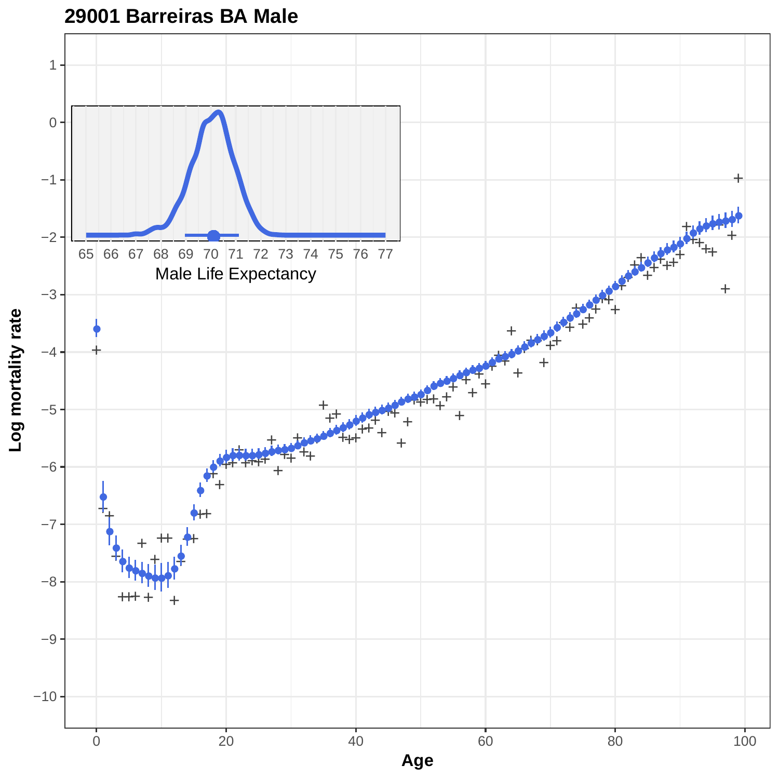

## **29001 Barreiras BA Male**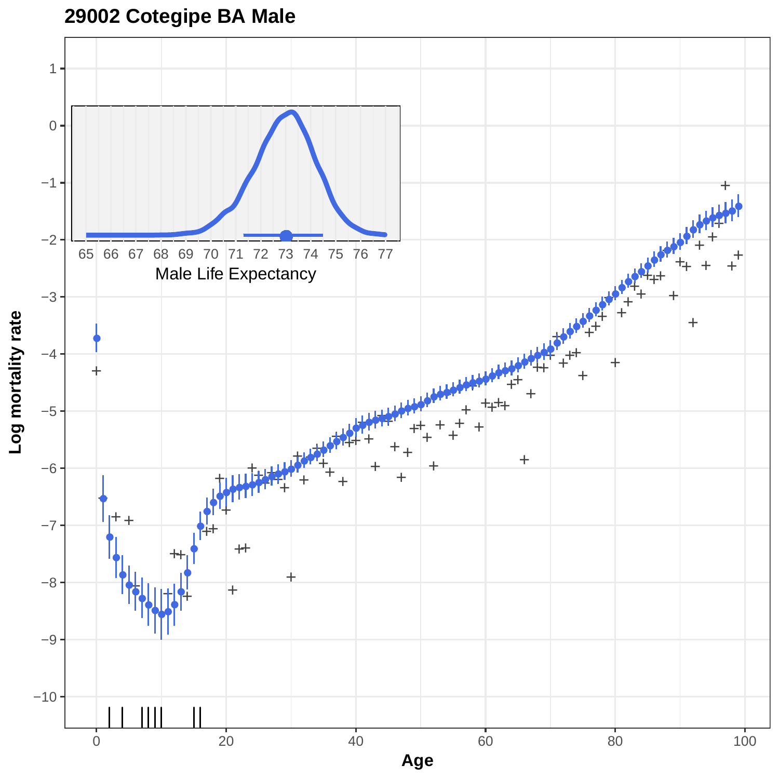**29002 Cotegipe BA Male**

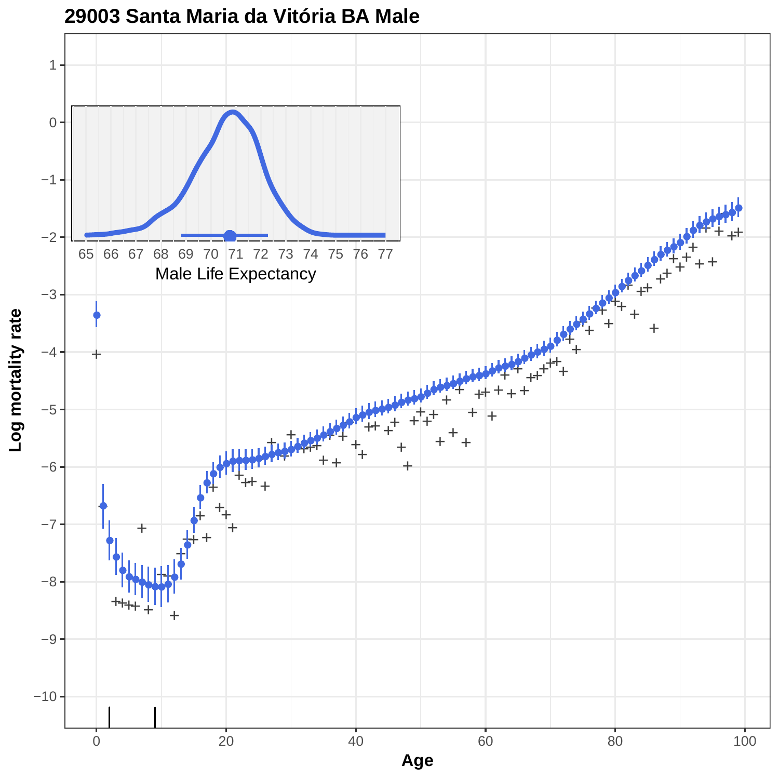

**29003 Santa Maria da Vitória BA Male**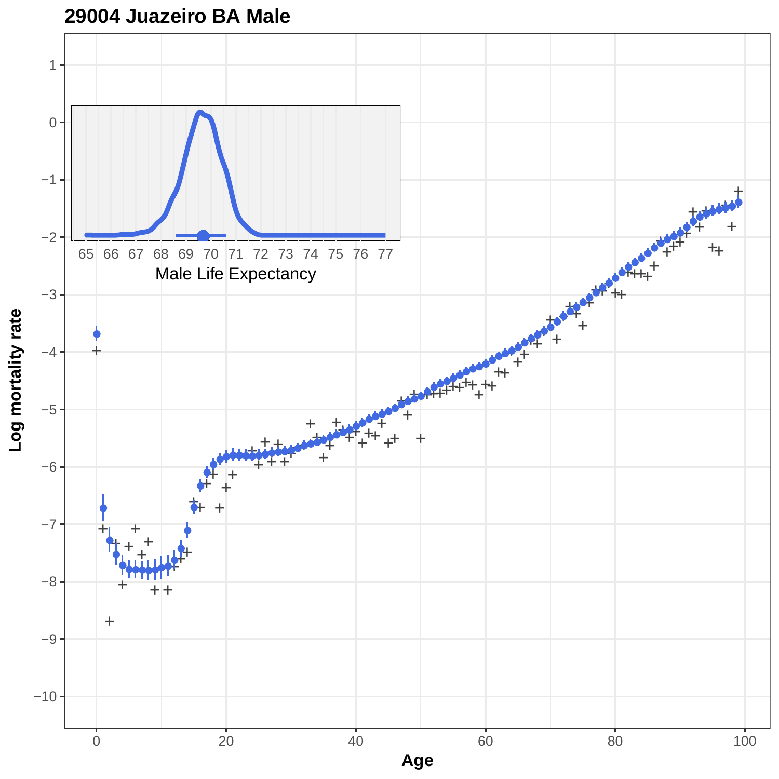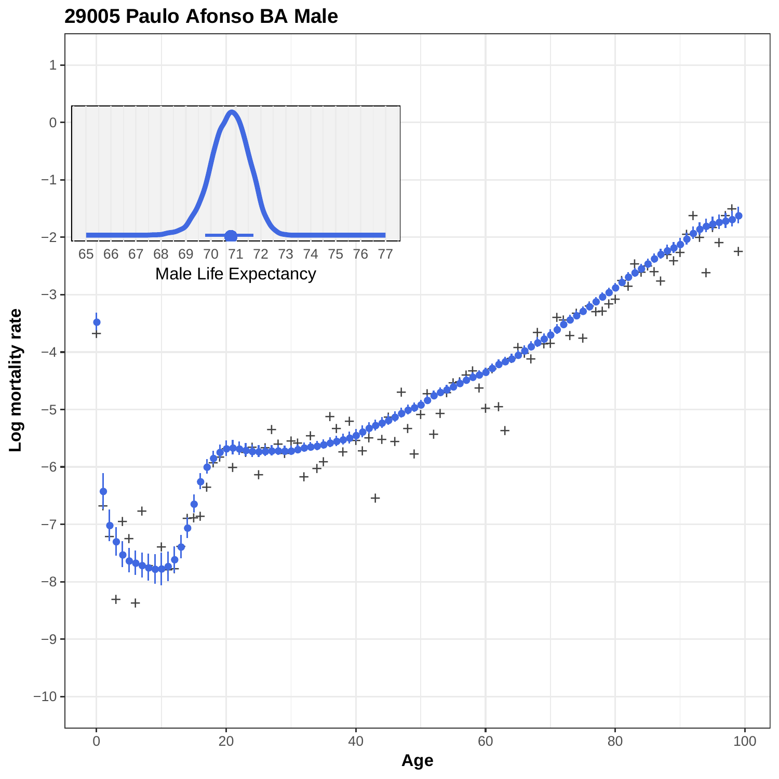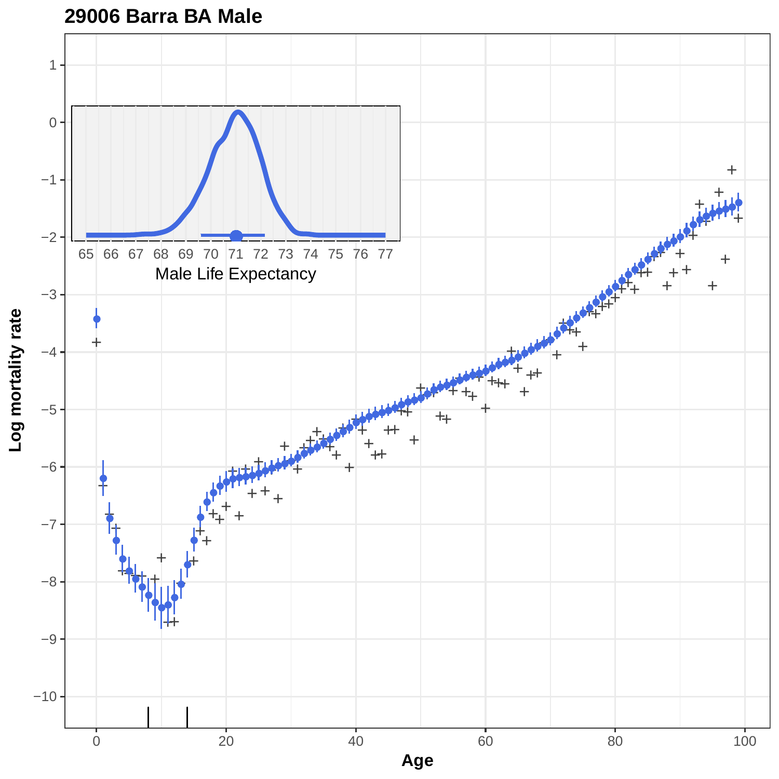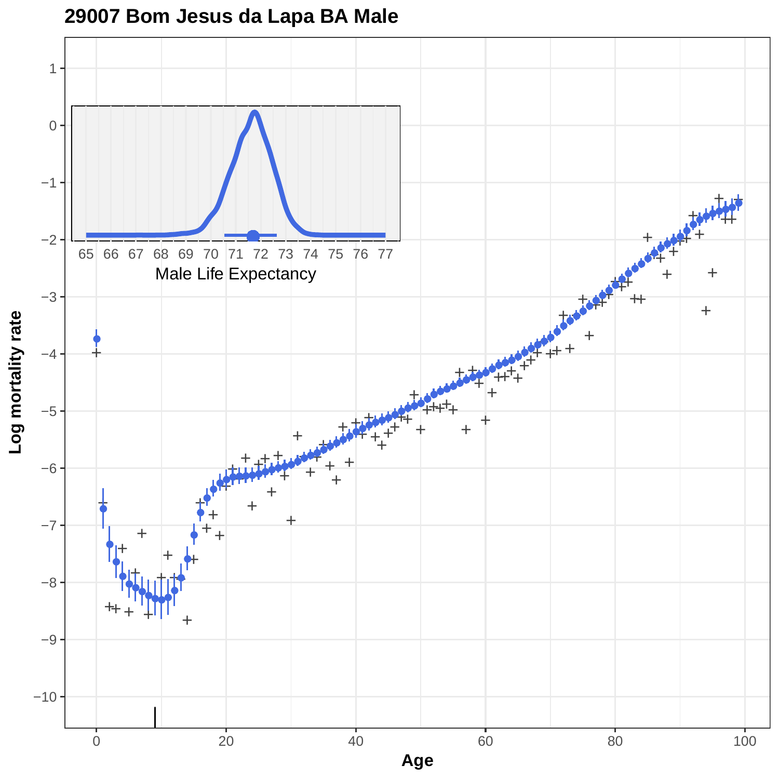

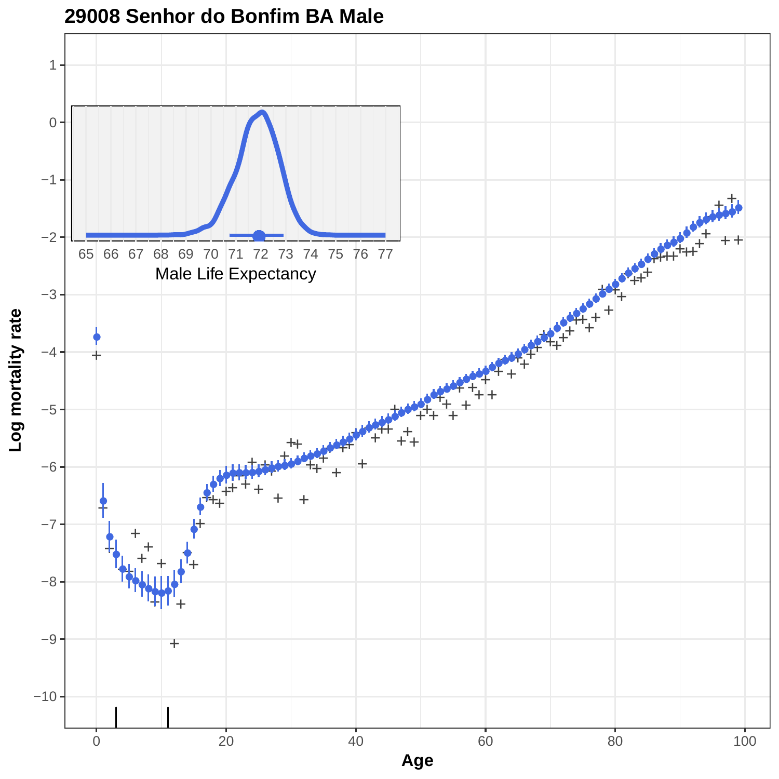

**29008 Senhor do Bonfim BA Male**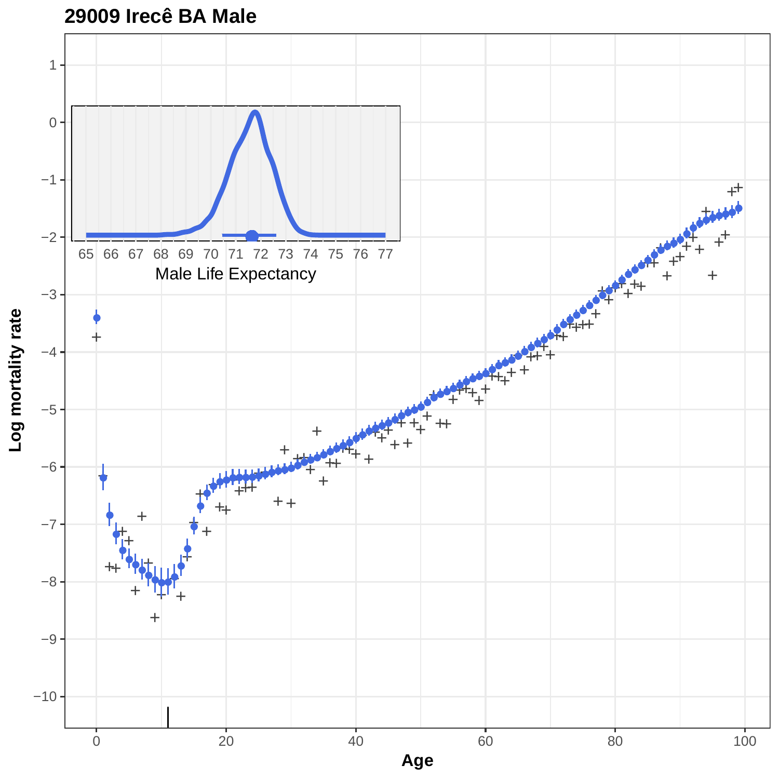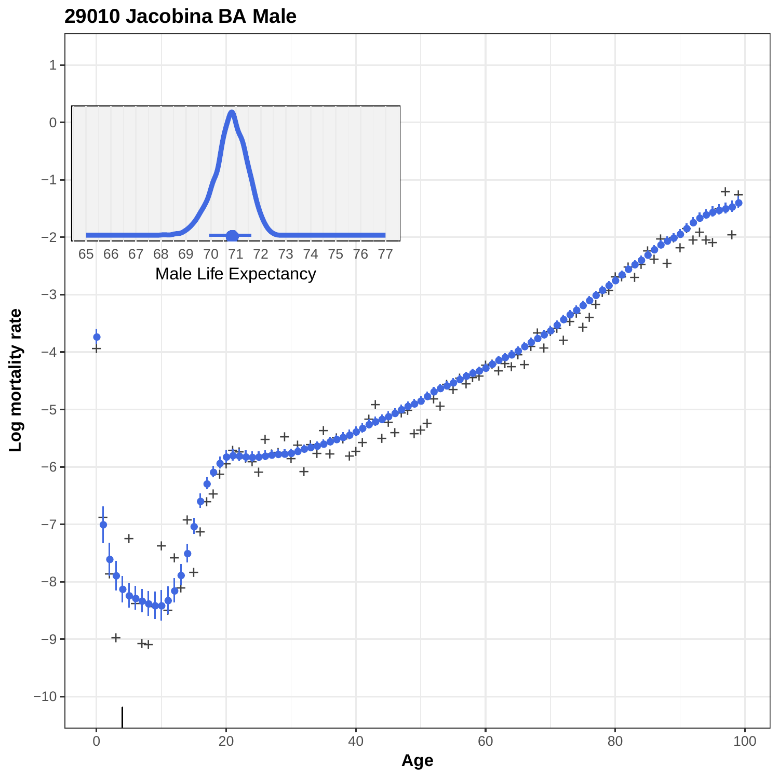

## **29010 Jacobina BA Male**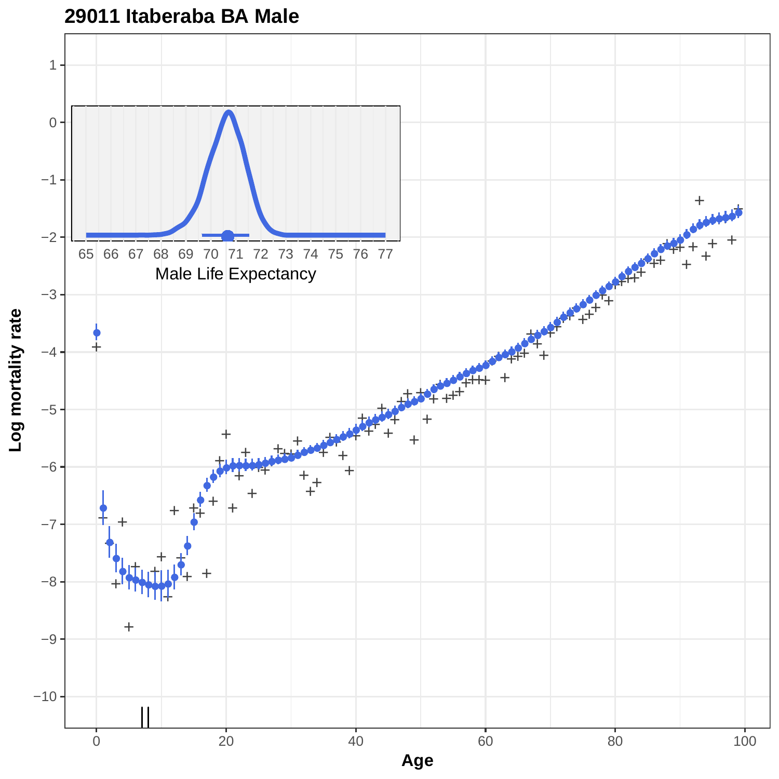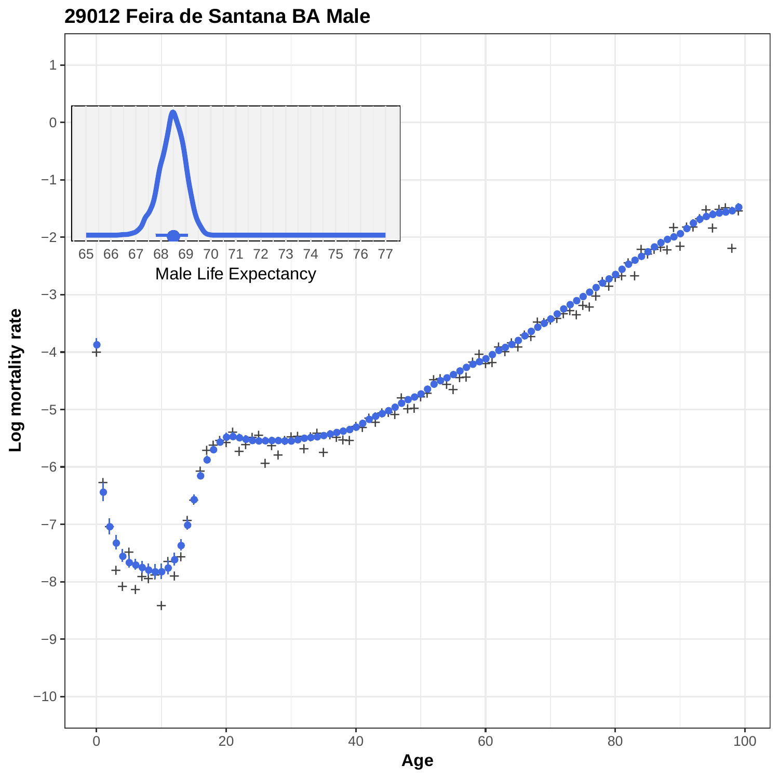

**29012 Feira de Santana BA Male**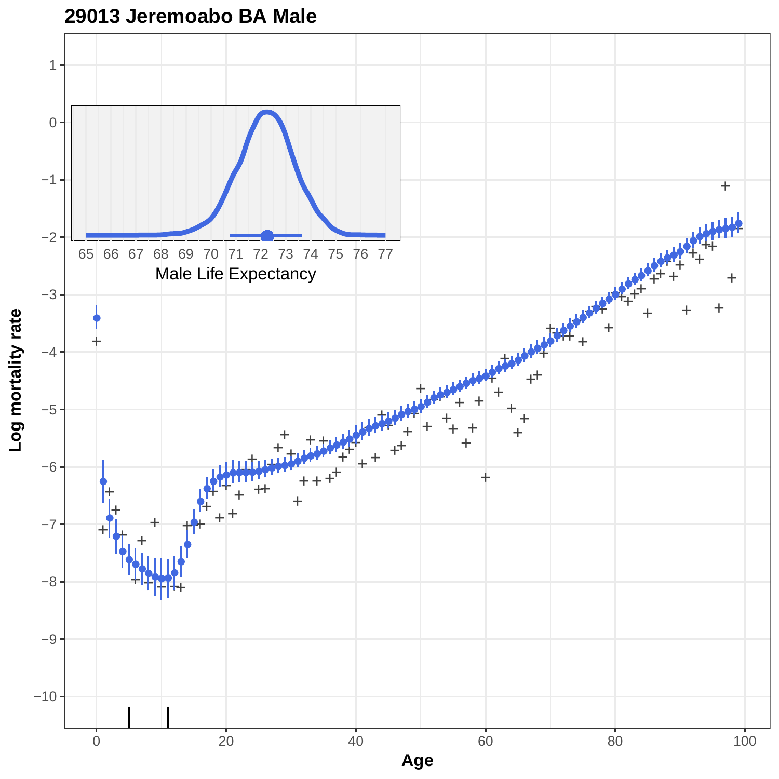

**29013 Jeremoabo BA Male**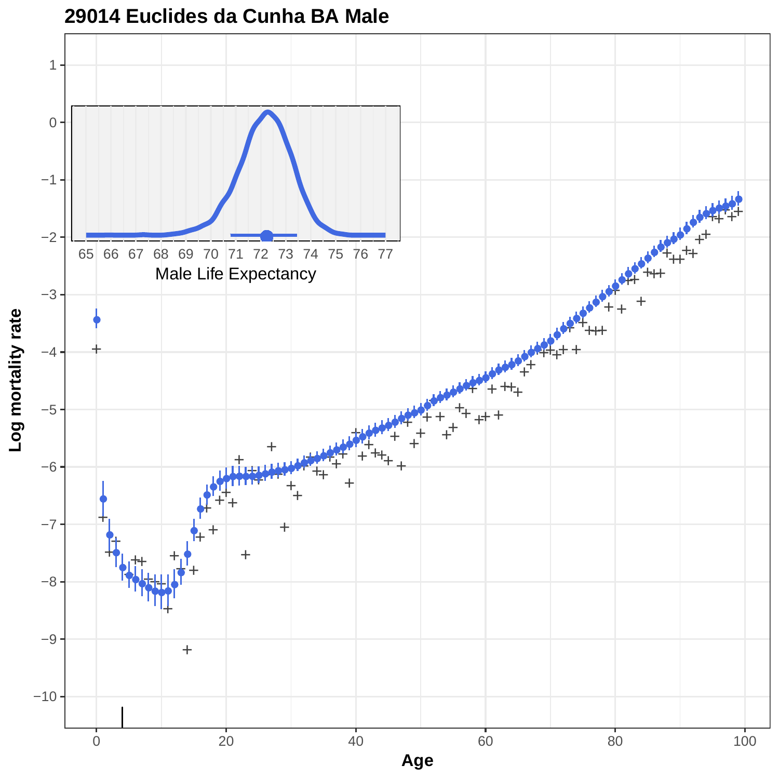

#### **29014 Euclides da Cunha BA Male**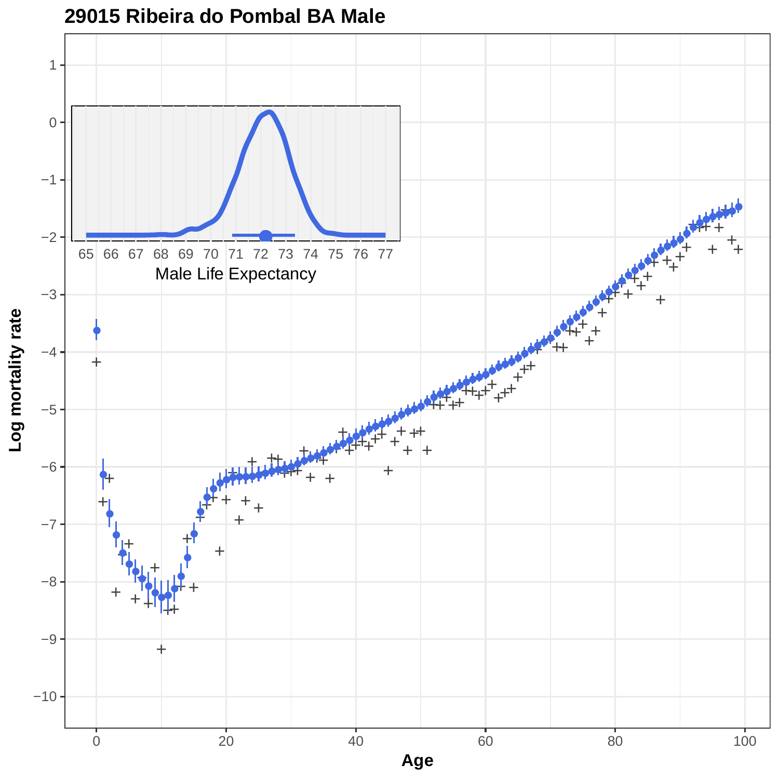

#### **29015 Ribeira do Pombal BA Male**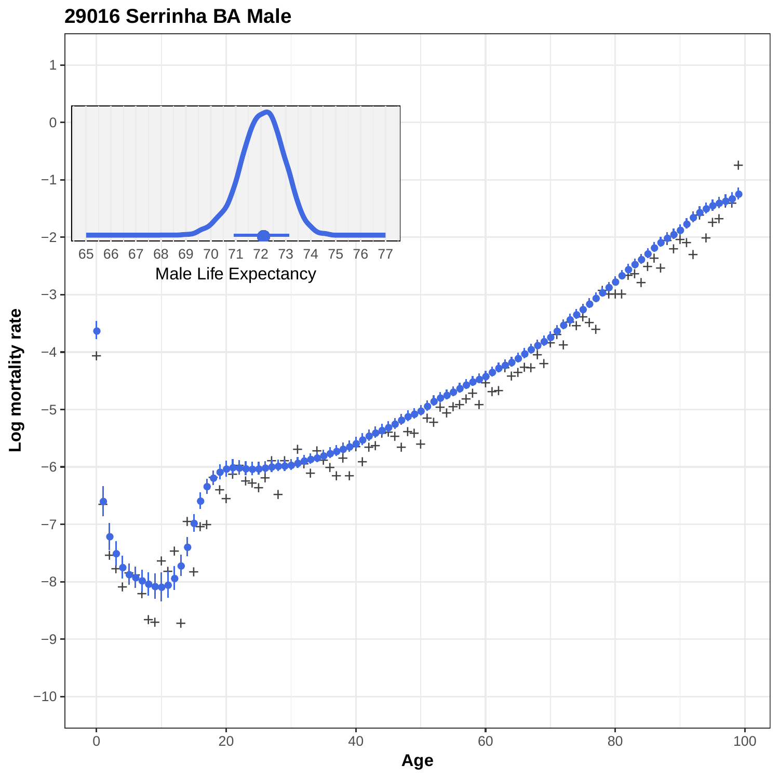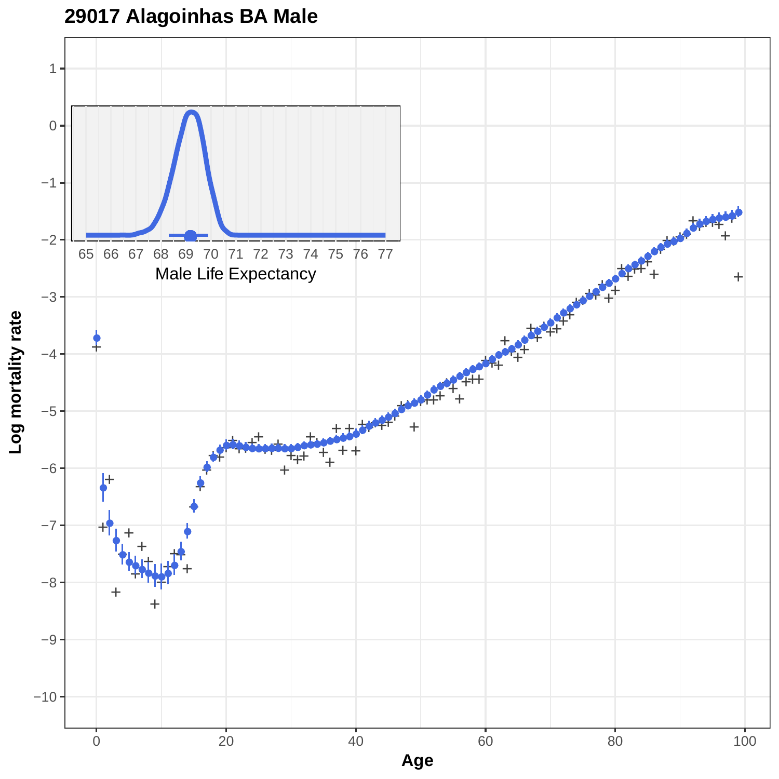**29017 Alagoinhas BA Male**

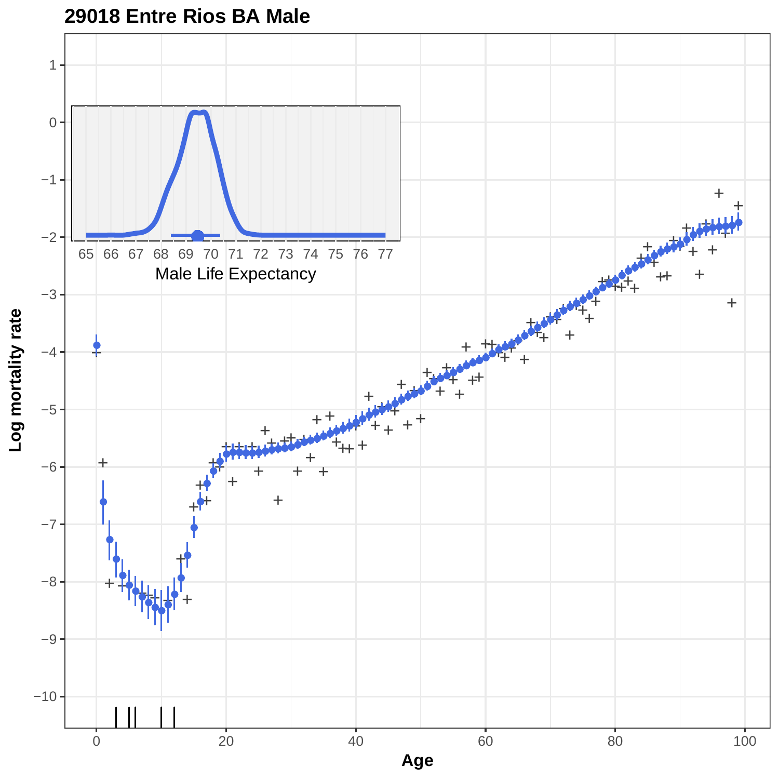

**29018 Entre Rios BA Male**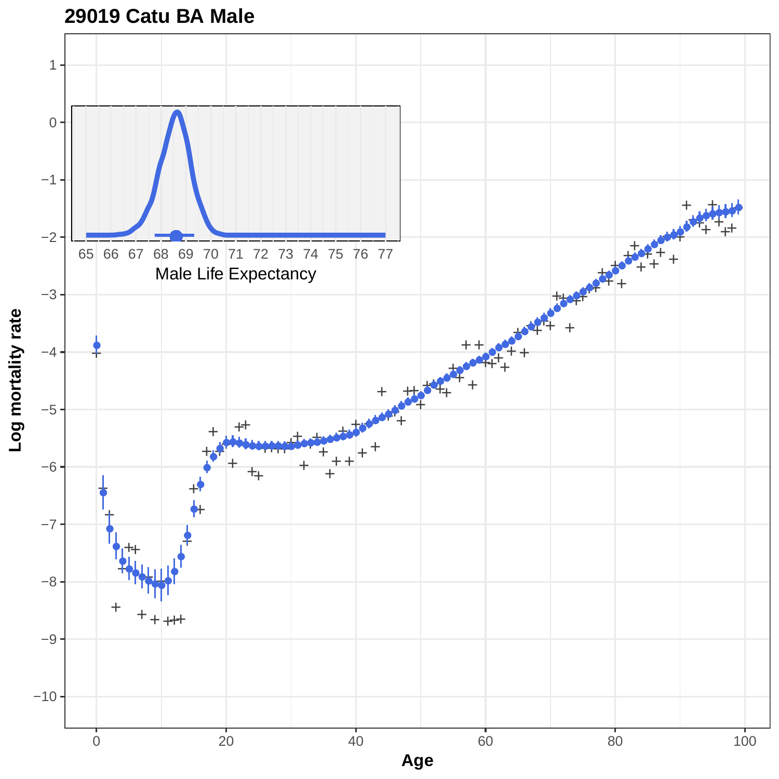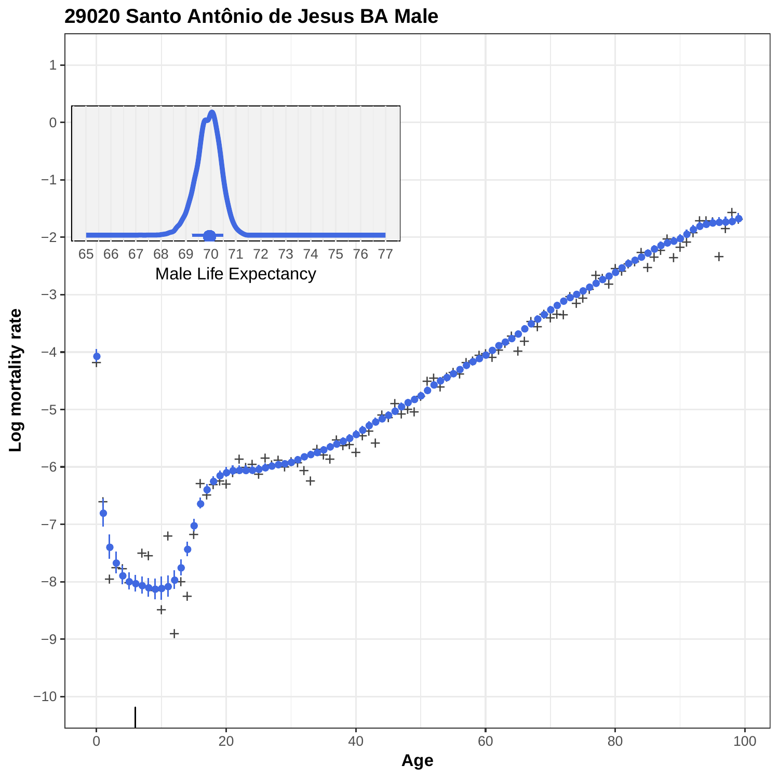

**29020 Santo Antônio de Jesus BA Male**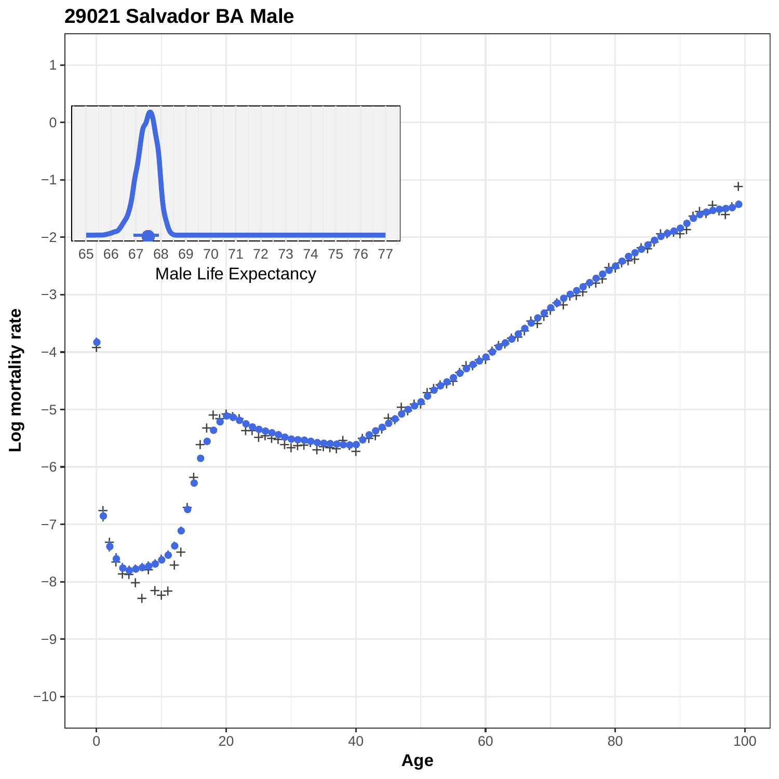

**29021 Salvador BA Male**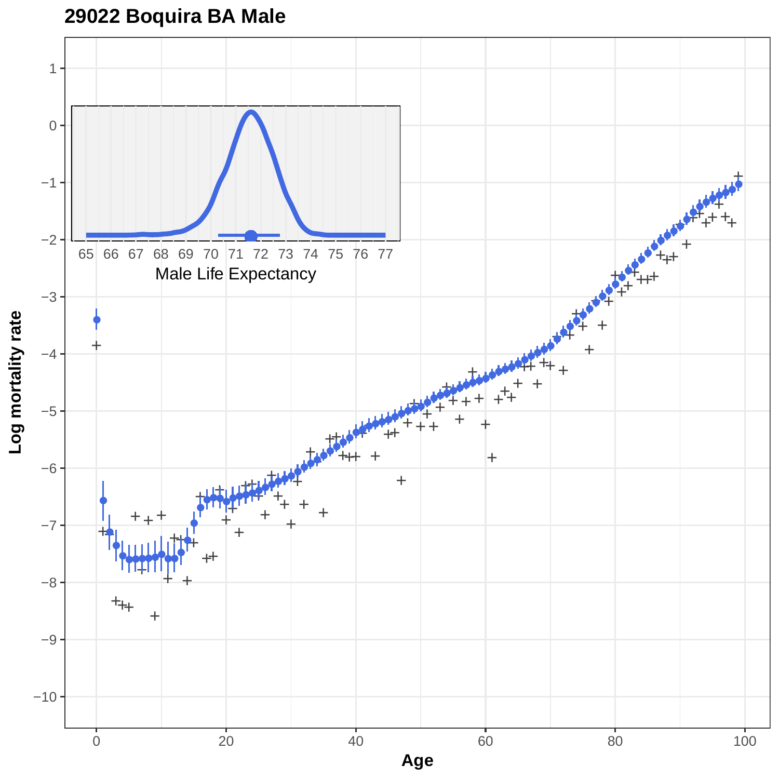# **29022 Boquira BA Male**

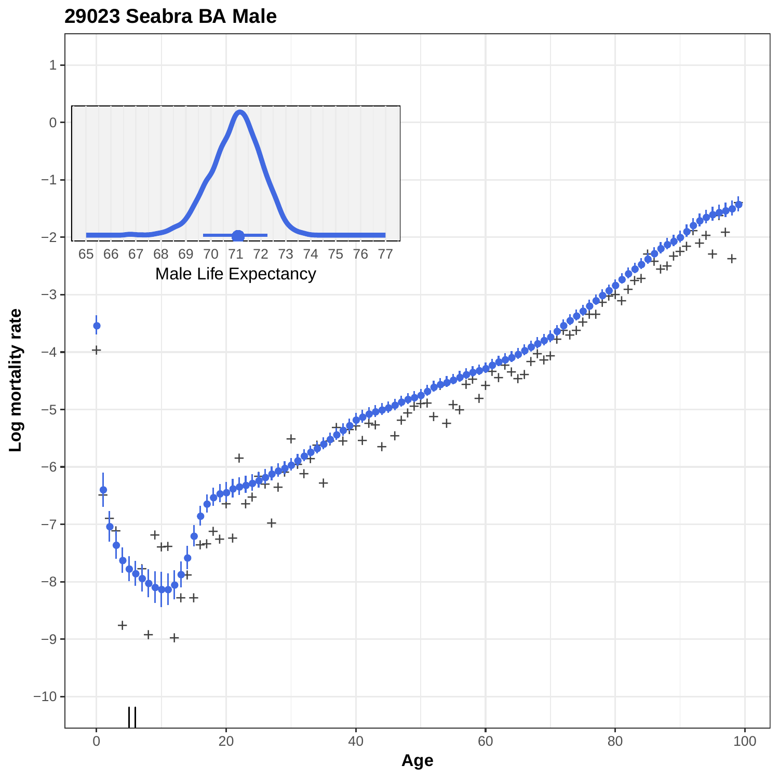

#### **29023 Seabra BA Male**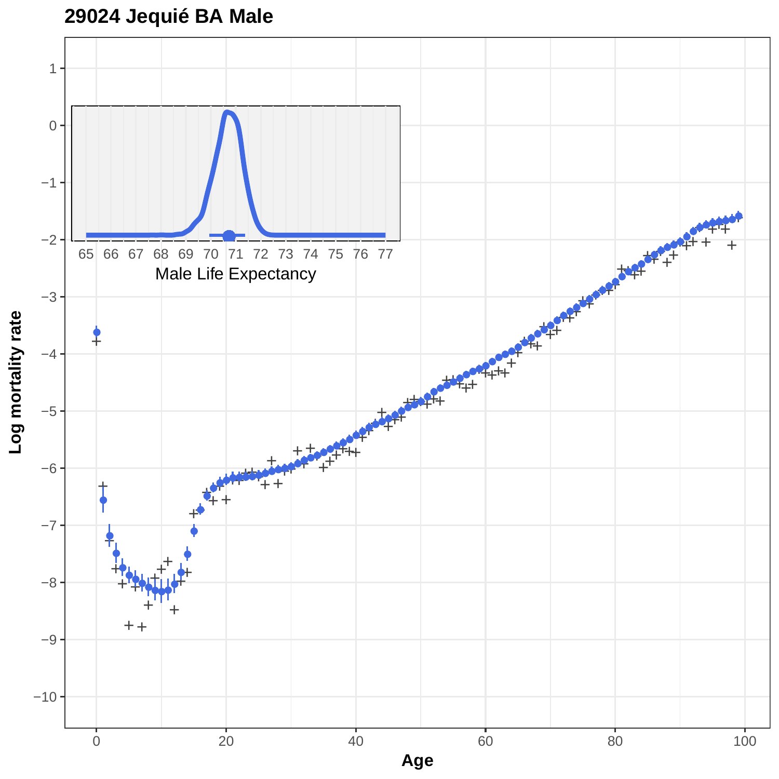

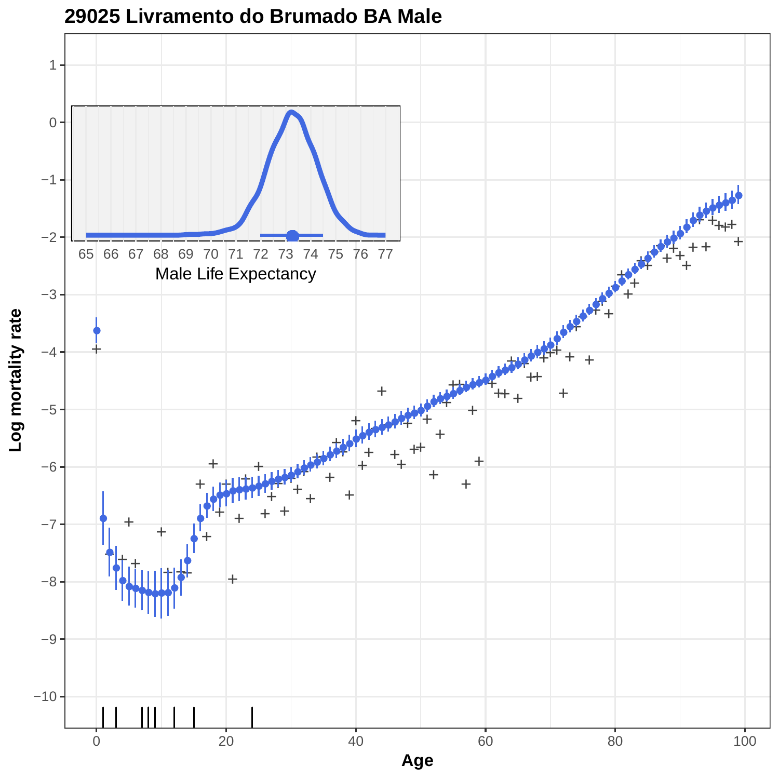

**29025 Livramento do Brumado BA Male**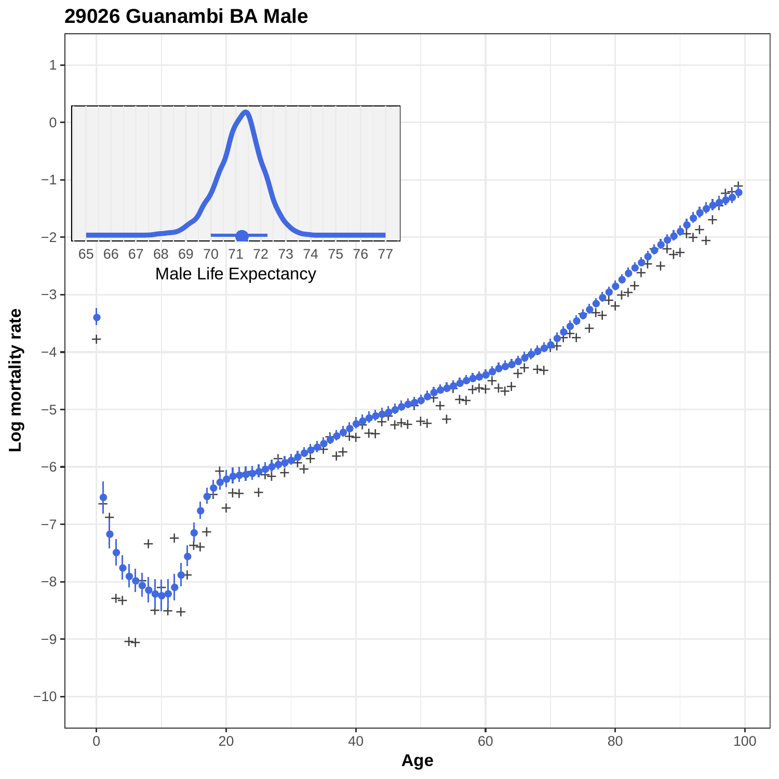

Log mortality rate **Log mortality rate**

> 0 20 20 40 60 80 80 100 **Age**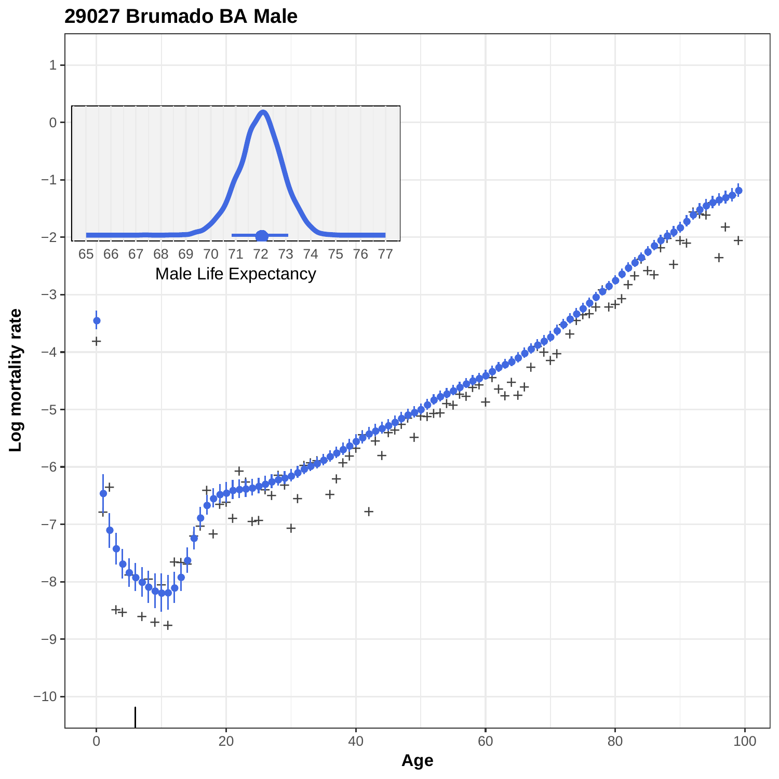

## **29027 Brumado BA Male**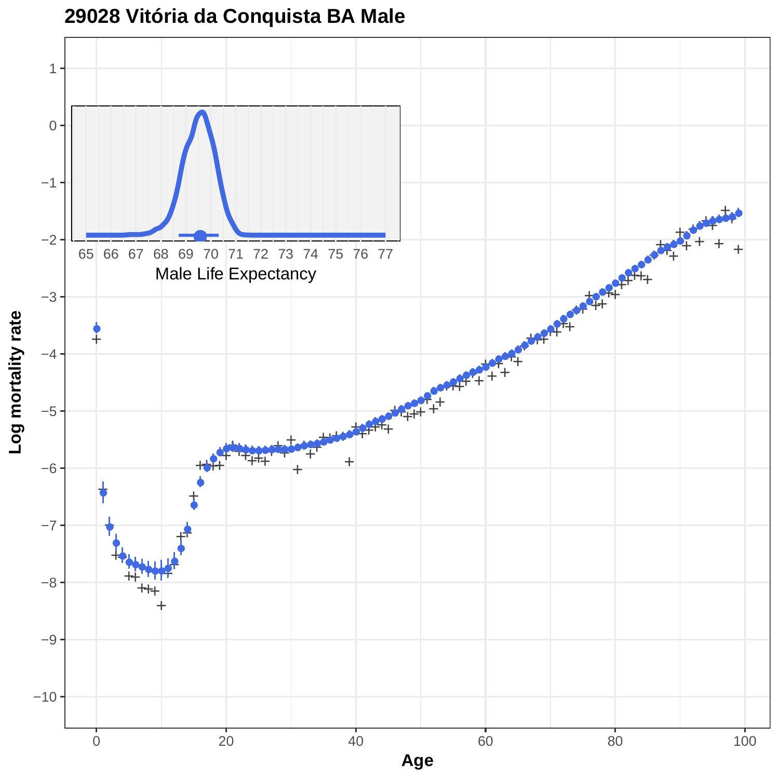

**29028 Vitória da Conquista BA Male**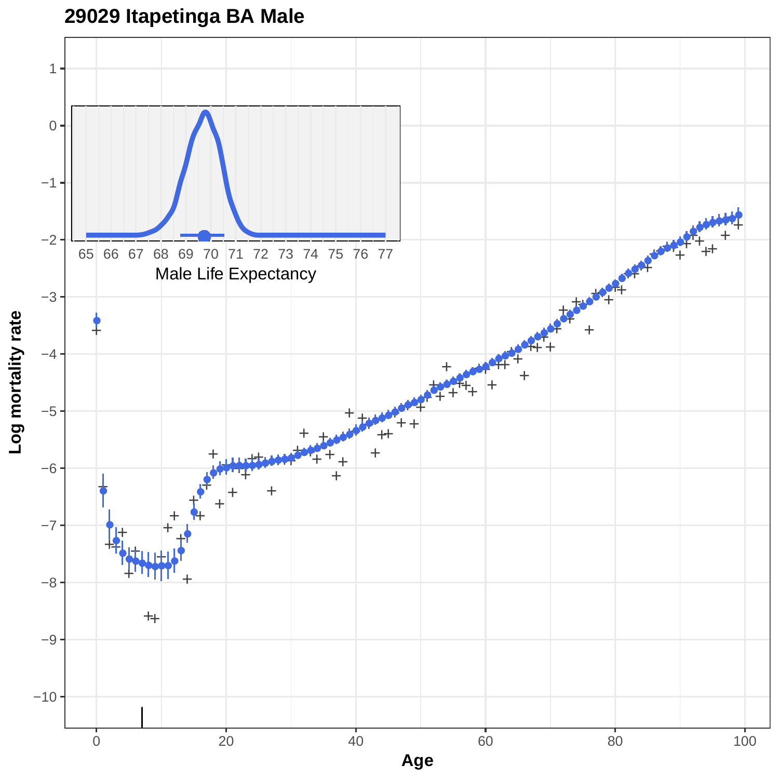

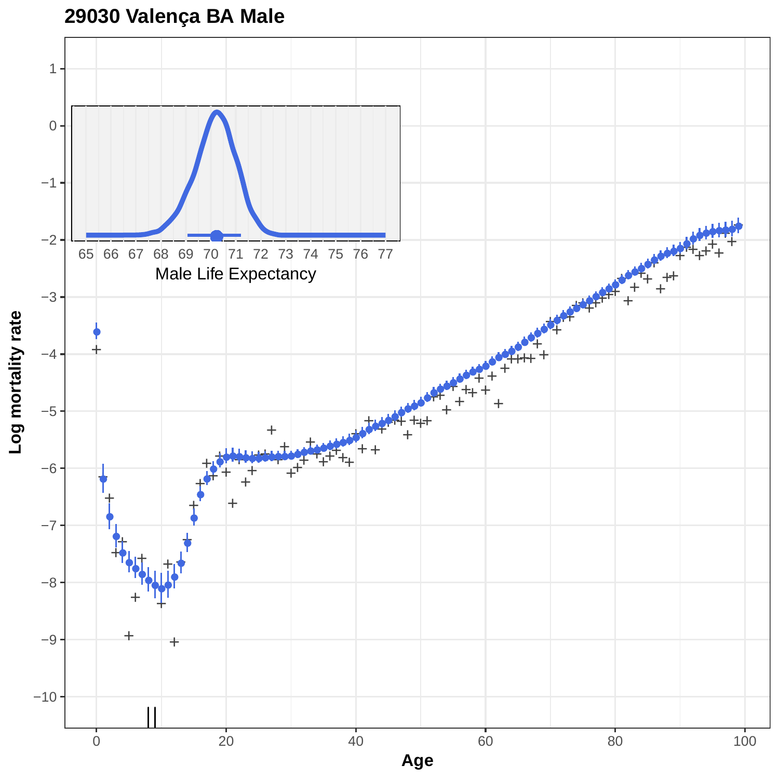# **29030 Valença BA Male**

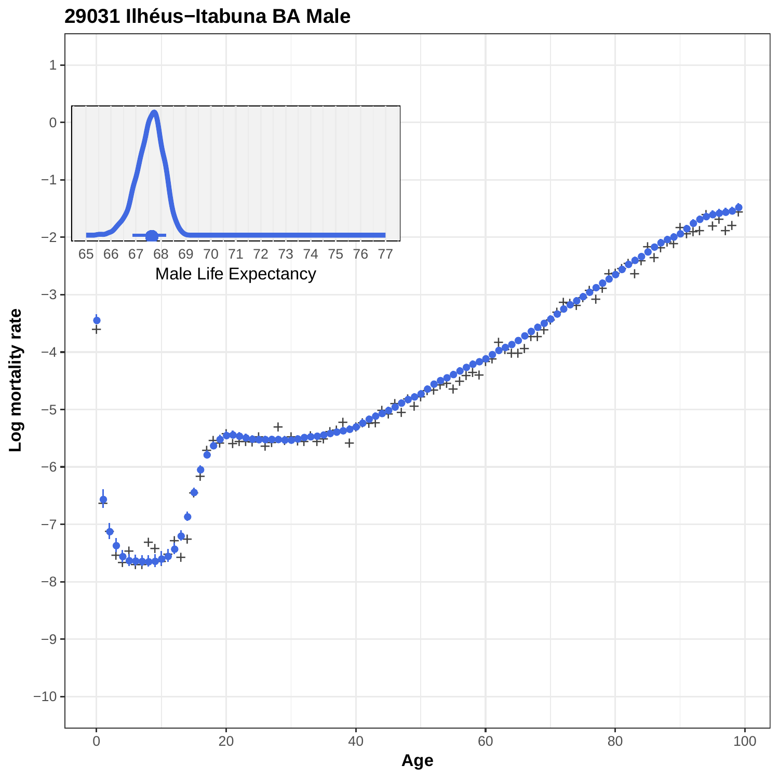

#### **29031 Ilhéus−Itabuna BA Male**